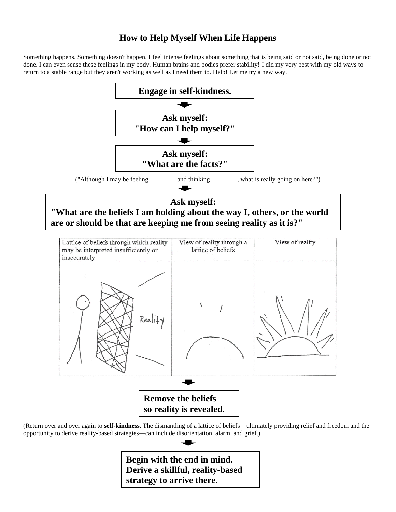## **How to Help Myself When Life Happens**

Something happens. Something doesn't happen. I feel intense feelings about something that is being said or not said, being done or not done. I can even sense these feelings in my body. Human brains and bodies prefer stability! I did my very best with my old ways to return to a stable range but they aren't working as well as I need them to. Help! Let me try a new way.



**Begin with the end in mind. Derive a skillful, reality-based strategy to arrive there.**